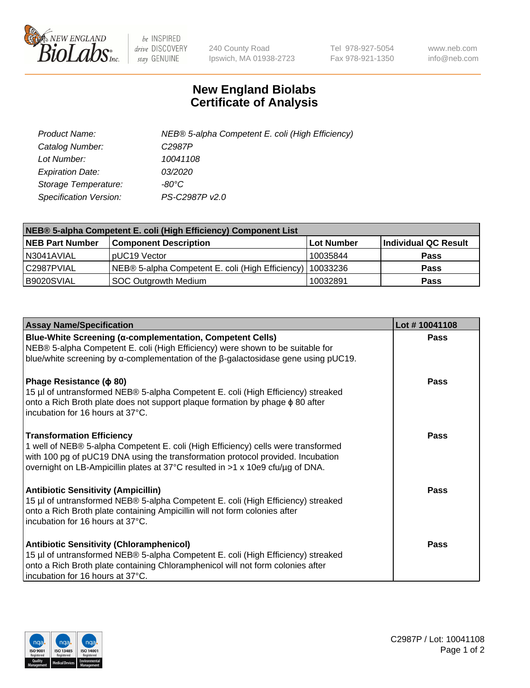

 $be$  INSPIRED drive DISCOVERY stay GENUINE

240 County Road Ipswich, MA 01938-2723 Tel 978-927-5054 Fax 978-921-1350 www.neb.com info@neb.com

## **New England Biolabs Certificate of Analysis**

| Product Name:                 | NEB® 5-alpha Competent E. coli (High Efficiency) |
|-------------------------------|--------------------------------------------------|
| Catalog Number:               | C <sub>2987</sub> P                              |
| Lot Number:                   | 10041108                                         |
| <b>Expiration Date:</b>       | <i>03/2020</i>                                   |
| Storage Temperature:          | -80°C                                            |
| <b>Specification Version:</b> | PS-C2987P v2.0                                   |

| NEB® 5-alpha Competent E. coli (High Efficiency) Component List |                                                  |            |                      |  |
|-----------------------------------------------------------------|--------------------------------------------------|------------|----------------------|--|
| <b>NEB Part Number</b>                                          | <b>Component Description</b>                     | Lot Number | Individual QC Result |  |
| N3041AVIAL                                                      | pUC19 Vector                                     | 10035844   | <b>Pass</b>          |  |
| C2987PVIAL                                                      | NEB® 5-alpha Competent E. coli (High Efficiency) | 10033236   | <b>Pass</b>          |  |
| B9020SVIAL                                                      | SOC Outgrowth Medium                             | 10032891   | <b>Pass</b>          |  |

| <b>Assay Name/Specification</b>                                                                                                                                                                                                                                                            | Lot #10041108 |
|--------------------------------------------------------------------------------------------------------------------------------------------------------------------------------------------------------------------------------------------------------------------------------------------|---------------|
| Blue-White Screening (α-complementation, Competent Cells)<br>NEB® 5-alpha Competent E. coli (High Efficiency) were shown to be suitable for                                                                                                                                                | Pass          |
| blue/white screening by $\alpha$ -complementation of the $\beta$ -galactosidase gene using pUC19.                                                                                                                                                                                          |               |
| Phage Resistance ( $\phi$ 80)<br>15 µl of untransformed NEB® 5-alpha Competent E. coli (High Efficiency) streaked<br>onto a Rich Broth plate does not support plaque formation by phage φ 80 after<br>incubation for 16 hours at 37°C.                                                     | Pass          |
| <b>Transformation Efficiency</b><br>1 well of NEB® 5-alpha Competent E. coli (High Efficiency) cells were transformed<br>with 100 pg of pUC19 DNA using the transformation protocol provided. Incubation<br>overnight on LB-Ampicillin plates at 37°C resulted in >1 x 10e9 cfu/µg of DNA. | Pass          |
| <b>Antibiotic Sensitivity (Ampicillin)</b><br>15 µl of untransformed NEB® 5-alpha Competent E. coli (High Efficiency) streaked<br>onto a Rich Broth plate containing Ampicillin will not form colonies after<br>incubation for 16 hours at 37°C.                                           | Pass          |
| <b>Antibiotic Sensitivity (Chloramphenicol)</b><br>15 µl of untransformed NEB® 5-alpha Competent E. coli (High Efficiency) streaked<br>onto a Rich Broth plate containing Chloramphenicol will not form colonies after<br>incubation for 16 hours at 37°C.                                 | Pass          |